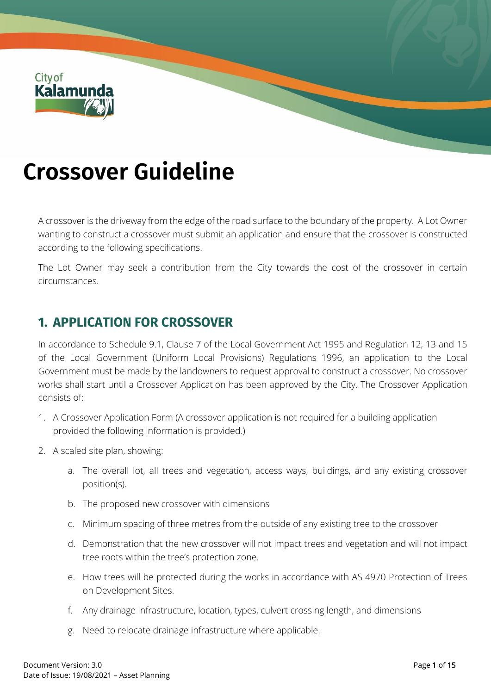

# **Crossover Guideline**

A crossover is the driveway from the edge of the road surface to the boundary of the property. A Lot Owner wanting to construct a crossover must submit an application and ensure that the crossover is constructed according to the following specifications.

The Lot Owner may seek a contribution from the City towards the cost of the crossover in certain circumstances.

## **1. APPLICATION FOR CROSSOVER**

In accordance to Schedule 9.1, Clause 7 of the Local Government Act 1995 and Regulation 12, 13 and 15 of the Local Government (Uniform Local Provisions) Regulations 1996, an application to the Local Government must be made by the landowners to request approval to construct a crossover. No crossover works shall start until a Crossover Application has been approved by the City. The Crossover Application consists of:

- 1. A Crossover Application Form (A crossover application is not required for a building application provided the following information is provided.)
- 2. A scaled site plan, showing:
	- a. The overall lot, all trees and vegetation, access ways, buildings, and any existing crossover position(s).
	- b. The proposed new crossover with dimensions
	- c. Minimum spacing of three metres from the outside of any existing tree to the crossover
	- d. Demonstration that the new crossover will not impact trees and vegetation and will not impact tree roots within the tree's protection zone.
	- e. How trees will be protected during the works in accordance with AS 4970 Protection of Trees on Development Sites.
	- f. Any drainage infrastructure, location, types, culvert crossing length, and dimensions
	- g. Need to relocate drainage infrastructure where applicable.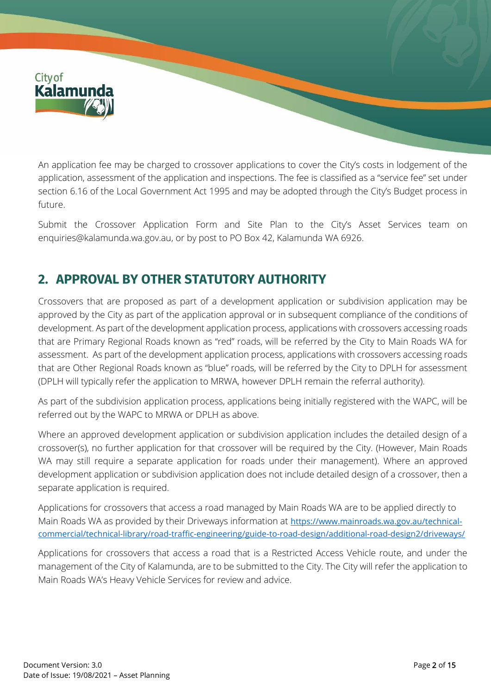

An application fee may be charged to crossover applications to cover the City's costs in lodgement of the application, assessment of the application and inspections. The fee is classified as a "service fee" set under section 6.16 of the Local Government Act 1995 and may be adopted through the City's Budget process in future.

Submit the Crossover Application Form and Site Plan to the City's Asset Services team on [enquiries@kalamunda.wa.gov.au,](mailto:enquiries@kalamunda.wa.gov.au) or by post to PO Box 42, Kalamunda WA 6926.

# **2. APPROVAL BY OTHER STATUTORY AUTHORITY**

Crossovers that are proposed as part of a development application or subdivision application may be approved by the City as part of the application approval or in subsequent compliance of the conditions of development. As part of the development application process, applications with crossovers accessing roads that are Primary Regional Roads known as "red" roads, will be referred by the City to Main Roads WA for assessment. As part of the development application process, applications with crossovers accessing roads that are Other Regional Roads known as "blue" roads, will be referred by the City to DPLH for assessment (DPLH will typically refer the application to MRWA, however DPLH remain the referral authority).

As part of the subdivision application process, applications being initially registered with the WAPC, will be referred out by the WAPC to MRWA or DPLH as above.

Where an approved development application or subdivision application includes the detailed design of a crossover(s), no further application for that crossover will be required by the City. (However, Main Roads WA may still require a separate application for roads under their management). Where an approved development application or subdivision application does not include detailed design of a crossover, then a separate application is required.

Applications for crossovers that access a road managed by Main Roads WA are to be applied directly to Main Roads WA as provided by their Driveways information at [https://www.mainroads.wa.gov.au/technical](https://www.mainroads.wa.gov.au/technical-commercial/technical-library/road-traffic-engineering/guide-to-road-design/additional-road-design2/driveways/)[commercial/technical-library/road-traffic-engineering/guide-to-road-design/additional-road-design2/driveways/](https://www.mainroads.wa.gov.au/technical-commercial/technical-library/road-traffic-engineering/guide-to-road-design/additional-road-design2/driveways/)

Applications for crossovers that access a road that is a Restricted Access Vehicle route, and under the management of the City of Kalamunda, are to be submitted to the City. The City will refer the application to Main Roads WA's Heavy Vehicle Services for review and advice.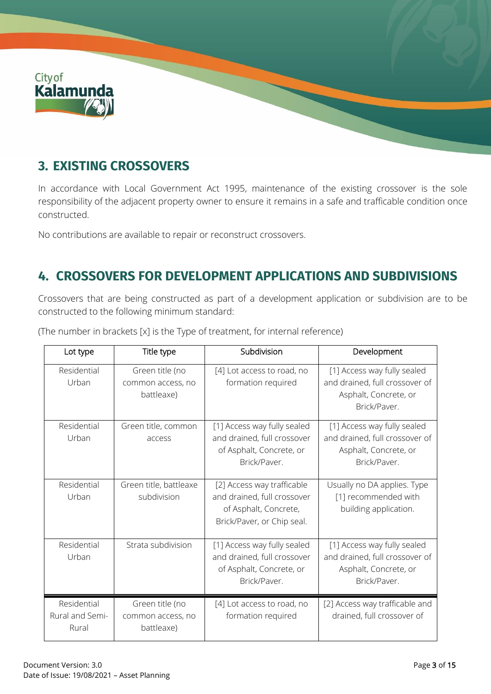

# **3. EXISTING CROSSOVERS**

In accordance with Local Government Act 1995, maintenance of the existing crossover is the sole responsibility of the adjacent property owner to ensure it remains in a safe and trafficable condition once constructed.

No contributions are available to repair or reconstruct crossovers.

# **4. CROSSOVERS FOR DEVELOPMENT APPLICATIONS AND SUBDIVISIONS**

Crossovers that are being constructed as part of a development application or subdivision are to be constructed to the following minimum standard:

| Lot type                                | Title type                                         | Subdivision                                                                                                      | Development                                                                                            |
|-----------------------------------------|----------------------------------------------------|------------------------------------------------------------------------------------------------------------------|--------------------------------------------------------------------------------------------------------|
| Residential<br>Urban                    | Green title (no<br>common access, no<br>battleaxe) | [4] Lot access to road, no<br>formation required                                                                 | [1] Access way fully sealed<br>and drained, full crossover of<br>Asphalt, Concrete, or<br>Brick/Paver. |
| Residential<br>Urban                    | Green title, common<br>access                      | [1] Access way fully sealed<br>and drained, full crossover<br>of Asphalt, Concrete, or<br>Brick/Paver.           | [1] Access way fully sealed<br>and drained, full crossover of<br>Asphalt, Concrete, or<br>Brick/Paver. |
| Residential<br>Urban                    | Green title, battleaxe<br>subdivision              | [2] Access way trafficable<br>and drained, full crossover<br>of Asphalt, Concrete,<br>Brick/Paver, or Chip seal. | Usually no DA applies. Type<br>[1] recommended with<br>building application.                           |
| Residential<br>Urban                    | Strata subdivision                                 | [1] Access way fully sealed<br>and drained, full crossover<br>of Asphalt, Concrete, or<br>Brick/Paver.           | [1] Access way fully sealed<br>and drained, full crossover of<br>Asphalt, Concrete, or<br>Brick/Paver. |
| Residential<br>Rural and Semi-<br>Rural | Green title (no<br>common access, no<br>battleaxe) | [4] Lot access to road, no<br>formation required                                                                 | [2] Access way trafficable and<br>drained, full crossover of                                           |

(The number in brackets [x] is the Type of treatment, for internal reference)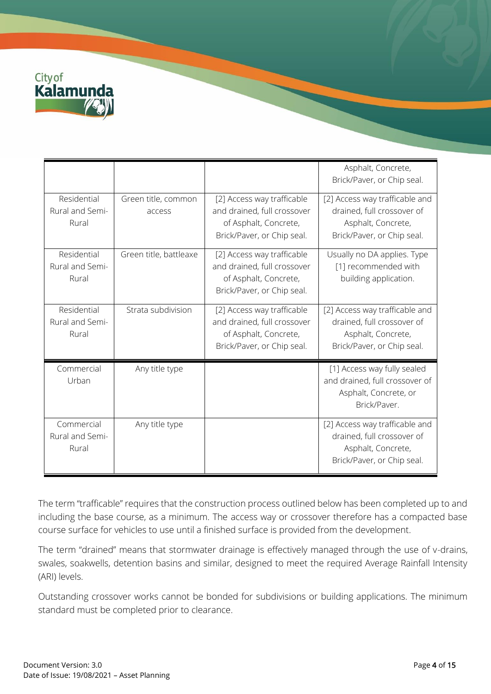

|                                         |                               |                                                                                                                  | Asphalt, Concrete,<br>Brick/Paver, or Chip seal.                                                                 |
|-----------------------------------------|-------------------------------|------------------------------------------------------------------------------------------------------------------|------------------------------------------------------------------------------------------------------------------|
| Residential<br>Rural and Semi-<br>Rural | Green title, common<br>access | [2] Access way trafficable<br>and drained, full crossover<br>of Asphalt, Concrete,<br>Brick/Paver, or Chip seal. | [2] Access way trafficable and<br>drained, full crossover of<br>Asphalt, Concrete,<br>Brick/Paver, or Chip seal. |
| Residential<br>Rural and Semi-<br>Rural | Green title, battleaxe        | [2] Access way trafficable<br>and drained, full crossover<br>of Asphalt, Concrete,<br>Brick/Paver, or Chip seal. | Usually no DA applies. Type<br>[1] recommended with<br>building application.                                     |
| Residential<br>Rural and Semi-<br>Rural | Strata subdivision            | [2] Access way trafficable<br>and drained, full crossover<br>of Asphalt, Concrete,<br>Brick/Paver, or Chip seal. | [2] Access way trafficable and<br>drained, full crossover of<br>Asphalt, Concrete,<br>Brick/Paver, or Chip seal. |
| Commercial<br>Urban                     | Any title type                |                                                                                                                  | [1] Access way fully sealed<br>and drained, full crossover of<br>Asphalt, Concrete, or<br>Brick/Paver.           |
| Commercial<br>Rural and Semi-<br>Rural  | Any title type                |                                                                                                                  | [2] Access way trafficable and<br>drained, full crossover of<br>Asphalt, Concrete,<br>Brick/Paver, or Chip seal. |

The term "trafficable" requires that the construction process outlined below has been completed up to and including the base course, as a minimum. The access way or crossover therefore has a compacted base course surface for vehicles to use until a finished surface is provided from the development.

The term "drained" means that stormwater drainage is effectively managed through the use of v-drains, swales, soakwells, detention basins and similar, designed to meet the required Average Rainfall Intensity (ARI) levels.

Outstanding crossover works cannot be bonded for subdivisions or building applications. The minimum standard must be completed prior to clearance.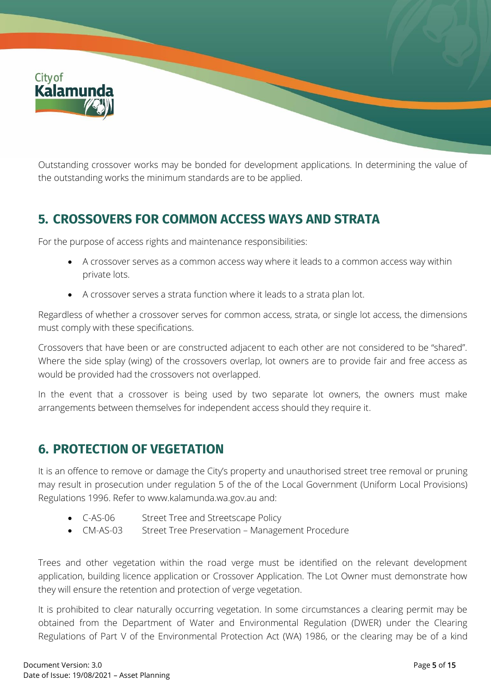

Outstanding crossover works may be bonded for development applications. In determining the value of the outstanding works the minimum standards are to be applied.

# **5. CROSSOVERS FOR COMMON ACCESS WAYS AND STRATA**

For the purpose of access rights and maintenance responsibilities:

- A crossover serves as a common access way where it leads to a common access way within private lots.
- A crossover serves a strata function where it leads to a strata plan lot.

Regardless of whether a crossover serves for common access, strata, or single lot access, the dimensions must comply with these specifications.

Crossovers that have been or are constructed adjacent to each other are not considered to be "shared". Where the side splay (wing) of the crossovers overlap, lot owners are to provide fair and free access as would be provided had the crossovers not overlapped.

In the event that a crossover is being used by two separate lot owners, the owners must make arrangements between themselves for independent access should they require it.

## **6. PROTECTION OF VEGETATION**

It is an offence to remove or damage the City's property and unauthorised street tree removal or pruning may result in prosecution under regulation 5 of the of the Local Government (Uniform Local Provisions) Regulations 1996. Refer to [www.kalamunda.wa.gov.au](http://www.kalamunda.wa.gov.au/) and:

- C-AS-06 Street Tree and Streetscape Policy
- CM-AS-03 Street Tree Preservation Management Procedure

Trees and other vegetation within the road verge must be identified on the relevant development application, building licence application or Crossover Application. The Lot Owner must demonstrate how they will ensure the retention and protection of verge vegetation.

It is prohibited to clear naturally occurring vegetation. In some circumstances a clearing permit may be obtained from the Department of Water and Environmental Regulation (DWER) under the Clearing Regulations of Part V of the Environmental Protection Act (WA) 1986, or the clearing may be of a kind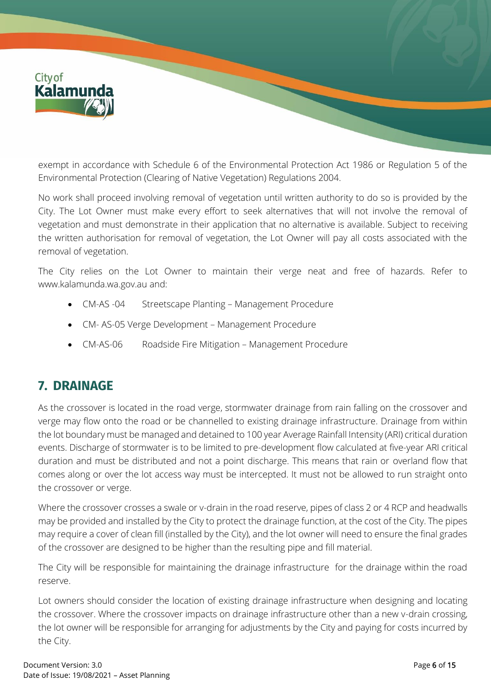

exempt in accordance with Schedule 6 of the Environmental Protection Act 1986 or Regulation 5 of the Environmental Protection (Clearing of Native Vegetation) Regulations 2004.

No work shall proceed involving removal of vegetation until written authority to do so is provided by the City. The Lot Owner must make every effort to seek alternatives that will not involve the removal of vegetation and must demonstrate in their application that no alternative is available. Subject to receiving the written authorisation for removal of vegetation, the Lot Owner will pay all costs associated with the removal of vegetation.

The City relies on the Lot Owner to maintain their verge neat and free of hazards. Refer to [www.kalamunda.wa.gov.au](http://www.kalamunda.wa.gov.au/) and:

- CM-AS -04 Streetscape Planting Management Procedure
- CM- AS-05 Verge Development Management Procedure
- CM-AS-06 Roadside Fire Mitigation Management Procedure

## **7. DRAINAGE**

As the crossover is located in the road verge, stormwater drainage from rain falling on the crossover and verge may flow onto the road or be channelled to existing drainage infrastructure. Drainage from within the lot boundary must be managed and detained to 100 year Average Rainfall Intensity (ARI) critical duration events. Discharge of stormwater is to be limited to pre-development flow calculated at five-year ARI critical duration and must be distributed and not a point discharge. This means that rain or overland flow that comes along or over the lot access way must be intercepted. It must not be allowed to run straight onto the crossover or verge.

Where the crossover crosses a swale or v-drain in the road reserve, pipes of class 2 or 4 RCP and headwalls may be provided and installed by the City to protect the drainage function, at the cost of the City. The pipes may require a cover of clean fill (installed by the City), and the lot owner will need to ensure the final grades of the crossover are designed to be higher than the resulting pipe and fill material.

The City will be responsible for maintaining the drainage infrastructure for the drainage within the road reserve.

Lot owners should consider the location of existing drainage infrastructure when designing and locating the crossover. Where the crossover impacts on drainage infrastructure other than a new v-drain crossing, the lot owner will be responsible for arranging for adjustments by the City and paying for costs incurred by the City.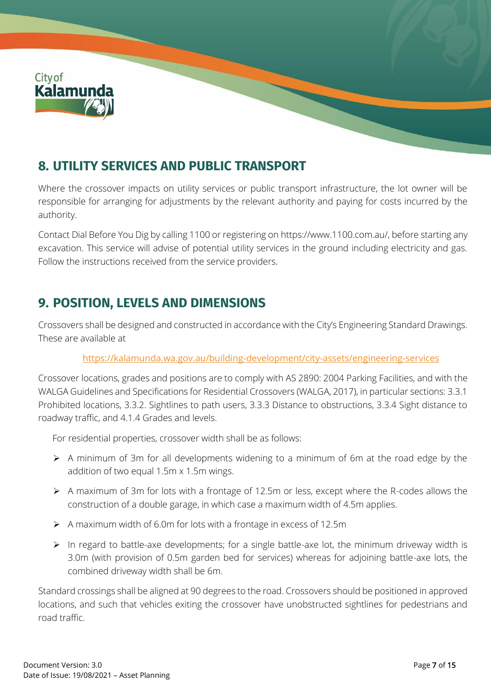

# **8. UTILITY SERVICES AND PUBLIC TRANSPORT**

Where the crossover impacts on utility services or public transport infrastructure, the lot owner will be responsible for arranging for adjustments by the relevant authority and paying for costs incurred by the authority.

Contact Dial Before You Dig by calling 1100 or registering o[n https://www.1100.com.au/,](https://www.1100.com.au/) before starting any excavation. This service will advise of potential utility services in the ground including electricity and gas. Follow the instructions received from the service providers.

## **9. POSITION, LEVELS AND DIMENSIONS**

Crossovers shall be designed and constructed in accordance with the City's Engineering Standard Drawings. These are available at

#### <https://kalamunda.wa.gov.au/building-development/city-assets/engineering-services>

Crossover locations, grades and positions are to comply with AS 2890: 2004 Parking Facilities, and with the WALGA Guidelines and Specifications for Residential Crossovers (WALGA, 2017), in particular sections: 3.3.1 Prohibited locations, 3.3.2. Sightlines to path users, 3.3.3 Distance to obstructions, 3.3.4 Sight distance to roadway traffic, and 4.1.4 Grades and levels.

For residential properties, crossover width shall be as follows:

- ➢ A minimum of 3m for all developments widening to a minimum of 6m at the road edge by the addition of two equal 1.5m x 1.5m wings.
- ➢ A maximum of 3m for lots with a frontage of 12.5m or less, except where the R-codes allows the construction of a double garage, in which case a maximum width of 4.5m applies.
- ➢ A maximum width of 6.0m for lots with a frontage in excess of 12.5m
- ➢ In regard to battle-axe developments; for a single battle-axe lot, the minimum driveway width is 3.0m (with provision of 0.5m garden bed for services) whereas for adjoining battle-axe lots, the combined driveway width shall be 6m.

Standard crossings shall be aligned at 90 degrees to the road. Crossovers should be positioned in approved locations, and such that vehicles exiting the crossover have unobstructed sightlines for pedestrians and road traffic.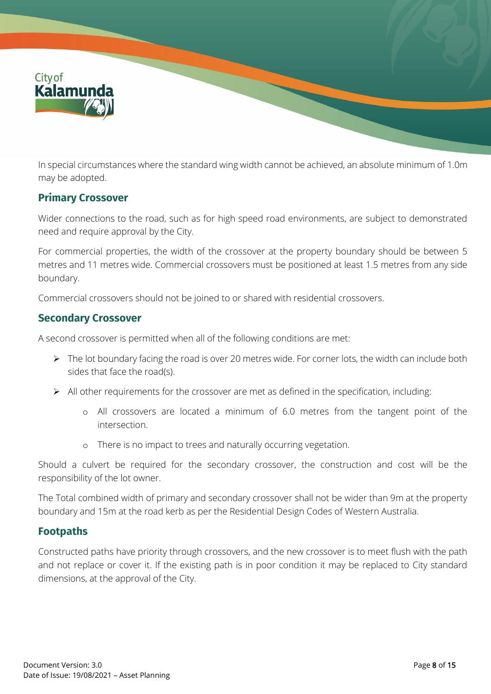

In special circumstances where the standard wing width cannot be achieved, an absolute minimum of 1.0m may be adopted.

#### **Primary Crossover**

Wider connections to the road, such as for high speed road environments, are subject to demonstrated need and require approval by the City.

For commercial properties, the width of the crossover at the property boundary should be between 5 metres and 11 metres wide. Commercial crossovers must be positioned at least 1.5 metres from any side boundary.

Commercial crossovers should not be joined to or shared with residential crossovers.

#### **Secondary Crossover**

A second crossover is permitted when all of the following conditions are met:

- ➢ The lot boundary facing the road is over 20 metres wide. For corner lots, the width can include both sides that face the road(s).
- ➢ All other requirements for the crossover are met as defined in the specification, including:
	- o All crossovers are located a minimum of 6.0 metres from the tangent point of the intersection.
	- o There is no impact to trees and naturally occurring vegetation.

Should a culvert be required for the secondary crossover, the construction and cost will be the responsibility of the lot owner.

The Total combined width of primary and secondary crossover shall not be wider than 9m at the property boundary and 15m at the road kerb as per the Residential Design Codes of Western Australia.

#### **Footpaths**

Constructed paths have priority through crossovers, and the new crossover is to meet flush with the path and not replace or cover it. If the existing path is in poor condition it may be replaced to City standard dimensions, at the approval of the City.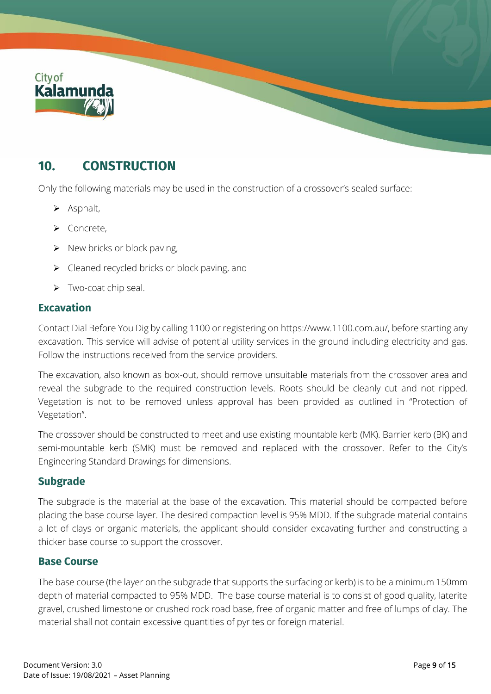

## **10. CONSTRUCTION**

Only the following materials may be used in the construction of a crossover's sealed surface:

- ➢ Asphalt,
- ➢ Concrete,
- $\triangleright$  New bricks or block paving,
- $\triangleright$  Cleaned recycled bricks or block paving, and
- ➢ Two-coat chip seal.

#### **Excavation**

Contact Dial Before You Dig by calling 1100 or registering o[n https://www.1100.com.au/,](https://www.1100.com.au/) before starting any excavation. This service will advise of potential utility services in the ground including electricity and gas. Follow the instructions received from the service providers.

The excavation, also known as box-out, should remove unsuitable materials from the crossover area and reveal the subgrade to the required construction levels. Roots should be cleanly cut and not ripped. Vegetation is not to be removed unless approval has been provided as outlined in "Protection of Vegetation".

The crossover should be constructed to meet and use existing mountable kerb (MK). Barrier kerb (BK) and semi-mountable kerb (SMK) must be removed and replaced with the crossover. Refer to the City's Engineering Standard Drawings for dimensions.

#### **Subgrade**

The subgrade is the material at the base of the excavation. This material should be compacted before placing the base course layer. The desired compaction level is 95% MDD. If the subgrade material contains a lot of clays or organic materials, the applicant should consider excavating further and constructing a thicker base course to support the crossover.

#### **Base Course**

The base course (the layer on the subgrade that supports the surfacing or kerb) is to be a minimum 150mm depth of material compacted to 95% MDD. The base course material is to consist of good quality, laterite gravel, crushed limestone or crushed rock road base, free of organic matter and free of lumps of clay. The material shall not contain excessive quantities of pyrites or foreign material.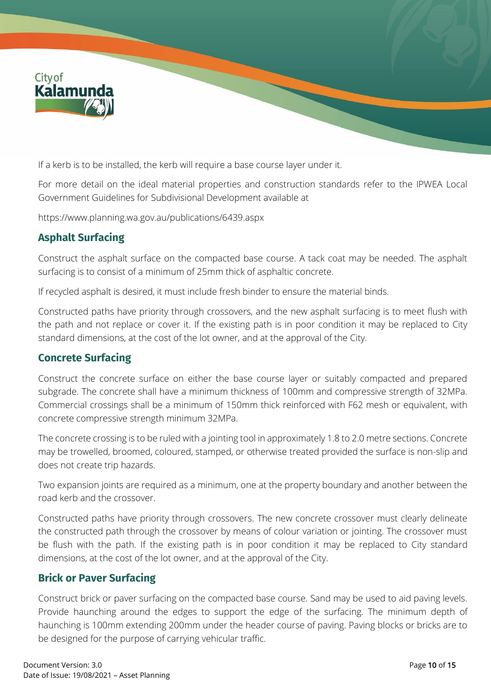

If a kerb is to be installed, the kerb will require a base course layer under it.

For more detail on the ideal material properties and construction standards refer to the IPWEA Local Government Guidelines for Subdivisional Development available at

<https://www.planning.wa.gov.au/publications/6439.aspx>

### **Asphalt Surfacing**

Construct the asphalt surface on the compacted base course. A tack coat may be needed. The asphalt surfacing is to consist of a minimum of 25mm thick of asphaltic concrete.

If recycled asphalt is desired, it must include fresh binder to ensure the material binds.

Constructed paths have priority through crossovers, and the new asphalt surfacing is to meet flush with the path and not replace or cover it. If the existing path is in poor condition it may be replaced to City standard dimensions, at the cost of the lot owner, and at the approval of the City.

#### **Concrete Surfacing**

Construct the concrete surface on either the base course layer or suitably compacted and prepared subgrade. The concrete shall have a minimum thickness of 100mm and compressive strength of 32MPa. Commercial crossings shall be a minimum of 150mm thick reinforced with F62 mesh or equivalent, with concrete compressive strength minimum 32MPa.

The concrete crossing is to be ruled with a jointing tool in approximately 1.8 to 2.0 metre sections. Concrete may be trowelled, broomed, coloured, stamped, or otherwise treated provided the surface is non-slip and does not create trip hazards.

Two expansion joints are required as a minimum, one at the property boundary and another between the road kerb and the crossover.

Constructed paths have priority through crossovers. The new concrete crossover must clearly delineate the constructed path through the crossover by means of colour variation or jointing. The crossover must be flush with the path. If the existing path is in poor condition it may be replaced to City standard dimensions, at the cost of the lot owner, and at the approval of the City.

#### **Brick or Paver Surfacing**

Construct brick or paver surfacing on the compacted base course. Sand may be used to aid paving levels. Provide haunching around the edges to support the edge of the surfacing. The minimum depth of haunching is 100mm extending 200mm under the header course of paving. Paving blocks or bricks are to be designed for the purpose of carrying vehicular traffic.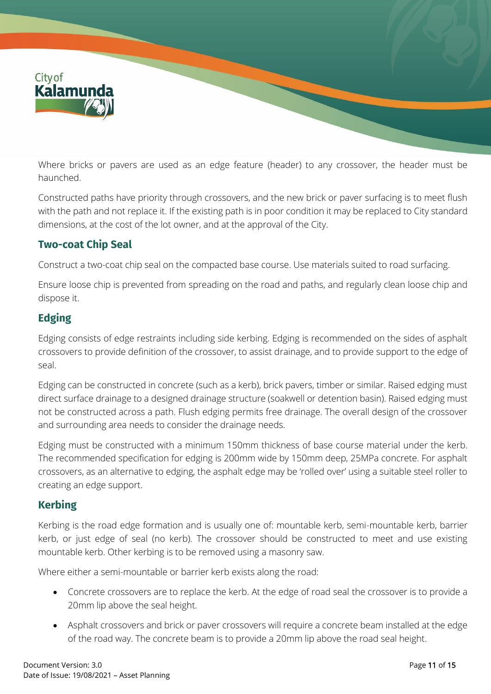

Where bricks or pavers are used as an edge feature (header) to any crossover, the header must be haunched.

Constructed paths have priority through crossovers, and the new brick or paver surfacing is to meet flush with the path and not replace it. If the existing path is in poor condition it may be replaced to City standard dimensions, at the cost of the lot owner, and at the approval of the City.

## **Two-coat Chip Seal**

Construct a two-coat chip seal on the compacted base course. Use materials suited to road surfacing.

Ensure loose chip is prevented from spreading on the road and paths, and regularly clean loose chip and dispose it.

## **Edging**

Edging consists of edge restraints including side kerbing. Edging is recommended on the sides of asphalt crossovers to provide definition of the crossover, to assist drainage, and to provide support to the edge of seal.

Edging can be constructed in concrete (such as a kerb), brick pavers, timber or similar. Raised edging must direct surface drainage to a designed drainage structure (soakwell or detention basin). Raised edging must not be constructed across a path. Flush edging permits free drainage. The overall design of the crossover and surrounding area needs to consider the drainage needs.

Edging must be constructed with a minimum 150mm thickness of base course material under the kerb. The recommended specification for edging is 200mm wide by 150mm deep, 25MPa concrete. For asphalt crossovers, as an alternative to edging, the asphalt edge may be 'rolled over' using a suitable steel roller to creating an edge support.

## **Kerbing**

Kerbing is the road edge formation and is usually one of: mountable kerb, semi-mountable kerb, barrier kerb, or just edge of seal (no kerb). The crossover should be constructed to meet and use existing mountable kerb. Other kerbing is to be removed using a masonry saw.

Where either a semi-mountable or barrier kerb exists along the road:

- Concrete crossovers are to replace the kerb. At the edge of road seal the crossover is to provide a 20mm lip above the seal height.
- Asphalt crossovers and brick or paver crossovers will require a concrete beam installed at the edge of the road way. The concrete beam is to provide a 20mm lip above the road seal height.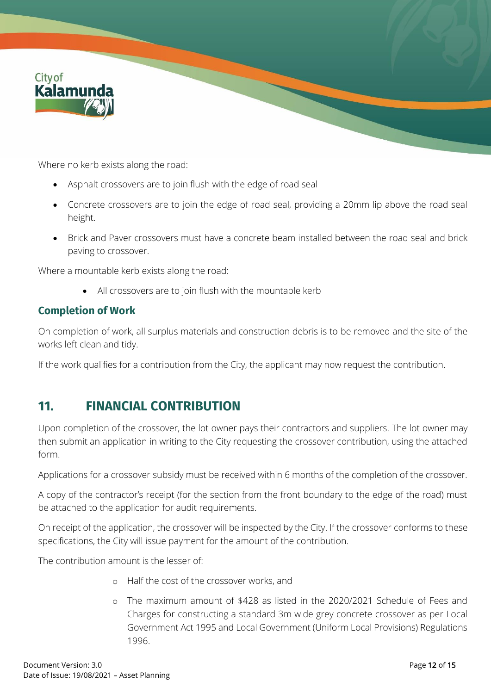

Where no kerb exists along the road:

- Asphalt crossovers are to join flush with the edge of road seal
- Concrete crossovers are to join the edge of road seal, providing a 20mm lip above the road seal height.
- Brick and Paver crossovers must have a concrete beam installed between the road seal and brick paving to crossover.

Where a mountable kerb exists along the road:

• All crossovers are to join flush with the mountable kerb

#### **Completion of Work**

On completion of work, all surplus materials and construction debris is to be removed and the site of the works left clean and tidy.

If the work qualifies for a contribution from the City, the applicant may now request the contribution.

## **11. FINANCIAL CONTRIBUTION**

Upon completion of the crossover, the lot owner pays their contractors and suppliers. The lot owner may then submit an application in writing to the City requesting the crossover contribution, using the attached form.

Applications for a crossover subsidy must be received within 6 months of the completion of the crossover.

A copy of the contractor's receipt (for the section from the front boundary to the edge of the road) must be attached to the application for audit requirements.

On receipt of the application, the crossover will be inspected by the City. If the crossover conforms to these specifications, the City will issue payment for the amount of the contribution.

The contribution amount is the lesser of:

- o Half the cost of the crossover works, and
- o The maximum amount of \$428 as listed in the 2020/2021 Schedule of Fees and Charges for constructing a standard 3m wide grey concrete crossover as per Local Government Act 1995 and Local Government (Uniform Local Provisions) Regulations 1996.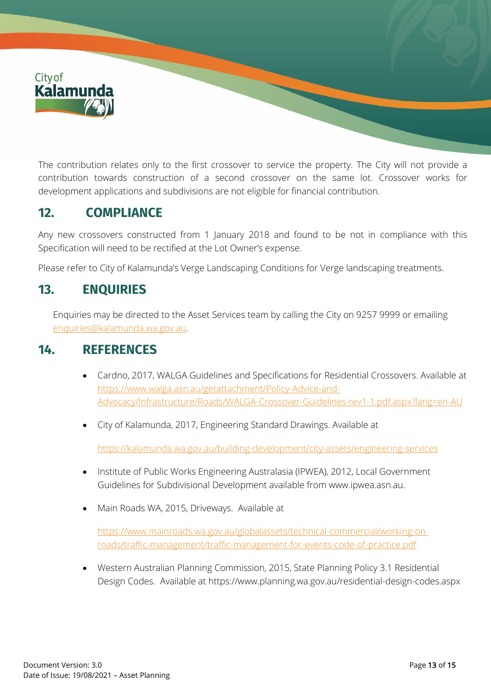

The contribution relates only to the first crossover to service the property. The City will not provide a contribution towards construction of a second crossover on the same lot. Crossover works for development applications and subdivisions are not eligible for financial contribution.

## **12. COMPLIANCE**

Any new crossovers constructed from 1 January 2018 and found to be not in compliance with this Specification will need to be rectified at the Lot Owner's expense.

Please refer to City of Kalamunda's Verge Landscaping Conditions for Verge landscaping treatments.

## **13. ENQUIRIES**

Enquiries may be directed to the Asset Services team by calling the City on 9257 9999 or emailing [enquiries@kalamunda.wa.gov.au.](mailto:enquiries@kalamunda.wa.gov.au)

## **14. REFERENCES**

- Cardno, 2017, WALGA Guidelines and Specifications for Residential Crossovers. Available at [https://www.walga.asn.au/getattachment/Policy-Advice-and-](https://www.walga.asn.au/getattachment/Policy-Advice-and-Advocacy/Infrastructure/Roads/WALGA-Crossover-Guidelines-rev1-1.pdf.aspx?lang=en-AU)[Advocacy/Infrastructure/Roads/WALGA-Crossover-Guidelines-rev1-1.pdf.aspx?lang=en-AU](https://www.walga.asn.au/getattachment/Policy-Advice-and-Advocacy/Infrastructure/Roads/WALGA-Crossover-Guidelines-rev1-1.pdf.aspx?lang=en-AU)
- City of Kalamunda, 2017, Engineering Standard Drawings. Available at

<https://kalamunda.wa.gov.au/building-development/city-assets/engineering-services>

- Institute of Public Works Engineering Australasia (IPWEA), 2012, Local Government Guidelines for Subdivisional Development available fro[m www.ipwea.asn.au.](http://www.ipwea.asn.au/)
- Main Roads WA, 2015, Driveways. Available at

[https://www.mainroads.wa.gov.au/globalassets/technical-commercial/working-on](https://www.mainroads.wa.gov.au/globalassets/technical-commercial/working-on-roads/traffic-management/traffic-management-for-events-code-of-practice.pdf)[roads/traffic-management/traffic-management-for-events-code-of-practice.pdf](https://www.mainroads.wa.gov.au/globalassets/technical-commercial/working-on-roads/traffic-management/traffic-management-for-events-code-of-practice.pdf)

• Western Australian Planning Commission, 2015, State Planning Policy 3.1 Residential Design Codes. Available at<https://www.planning.wa.gov.au/residential-design-codes.aspx>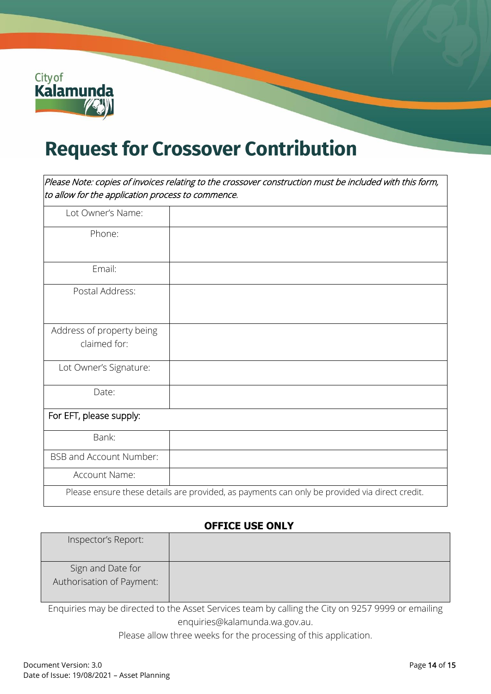

# **Request for Crossover Contribution**

Please Note: copies of invoices relating to the crossover construction must be included with this form, to allow for the application process to commence.

| Lot Owner's Name:              |                                                                                               |
|--------------------------------|-----------------------------------------------------------------------------------------------|
| Phone:                         |                                                                                               |
|                                |                                                                                               |
| Email:                         |                                                                                               |
| Postal Address:                |                                                                                               |
|                                |                                                                                               |
| Address of property being      |                                                                                               |
| claimed for:                   |                                                                                               |
| Lot Owner's Signature:         |                                                                                               |
| Date:                          |                                                                                               |
| For EFT, please supply:        |                                                                                               |
| Bank:                          |                                                                                               |
| <b>BSB and Account Number:</b> |                                                                                               |
| Account Name:                  |                                                                                               |
|                                | Please ensure these details are provided, as payments can only be provided via direct credit. |

#### **OFFICE USE ONLY**

| Inspector's Report:                            |  |
|------------------------------------------------|--|
| Sign and Date for<br>Authorisation of Payment: |  |

Enquiries may be directed to the Asset Services team by calling the City on 9257 9999 or emailing [enquiries@kalamunda.wa.gov.au.](mailto:enquiries@kalamunda.wa.gov.au)

Please allow three weeks for the processing of this application.